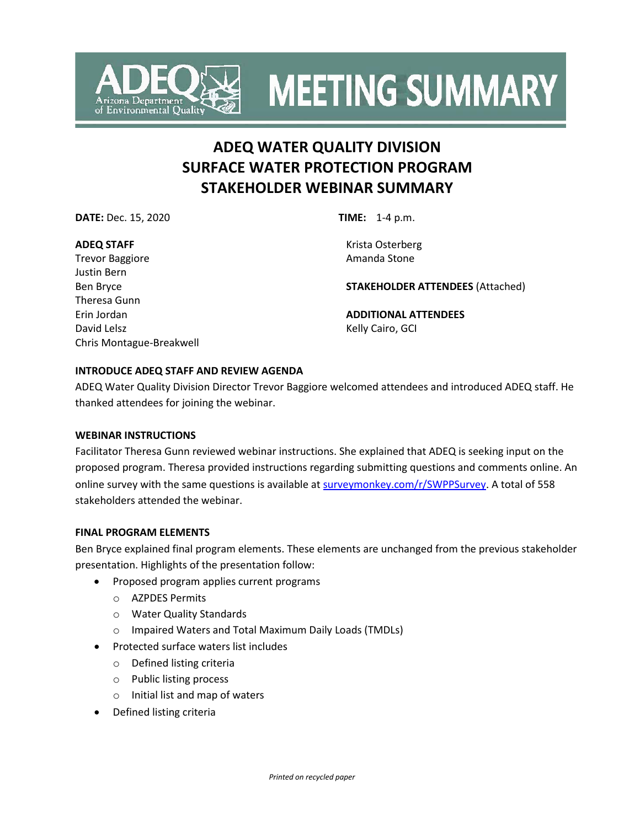

**MEETING SUMMARY** 

# **ADEQ WATER QUALITY DIVISION SURFACE WATER PROTECTION PROGRAM STAKEHOLDER WEBINAR SUMMARY**

**DATE:** Dec. 15, 2020 **TIME:** 1-4 p.m.

#### **ADEQ STAFF**

Trevor Baggiore Justin Bern Ben Bryce Theresa Gunn Erin Jordan David Lelsz Chris Montague-Breakwell

Krista Osterberg Amanda Stone

**STAKEHOLDER ATTENDEES** (Attached)

**ADDITIONAL ATTENDEES** Kelly Cairo, GCI

## **INTRODUCE ADEQ STAFF AND REVIEW AGENDA**

ADEQ Water Quality Division Director Trevor Baggiore welcomed attendees and introduced ADEQ staff. He thanked attendees for joining the webinar.

## **WEBINAR INSTRUCTIONS**

Facilitator Theresa Gunn reviewed webinar instructions. She explained that ADEQ is seeking input on the proposed program. Theresa provided instructions regarding submitting questions and comments online. An online survey with the same questions is available at surveymonkey.com/r/SWPPSurvey. A total of 558 stakeholders attended the webinar.

## **FINAL PROGRAM ELEMENTS**

Ben Bryce explained final program elements. These elements are unchanged from the previous stakeholder presentation. Highlights of the presentation follow:

- Proposed program applies current programs
	- o AZPDES Permits
	- o Water Quality Standards
	- o Impaired Waters and Total Maximum Daily Loads (TMDLs)
- Protected surface waters list includes
	- o Defined listing criteria
	- o Public listing process
	- o Initial list and map of waters
- Defined listing criteria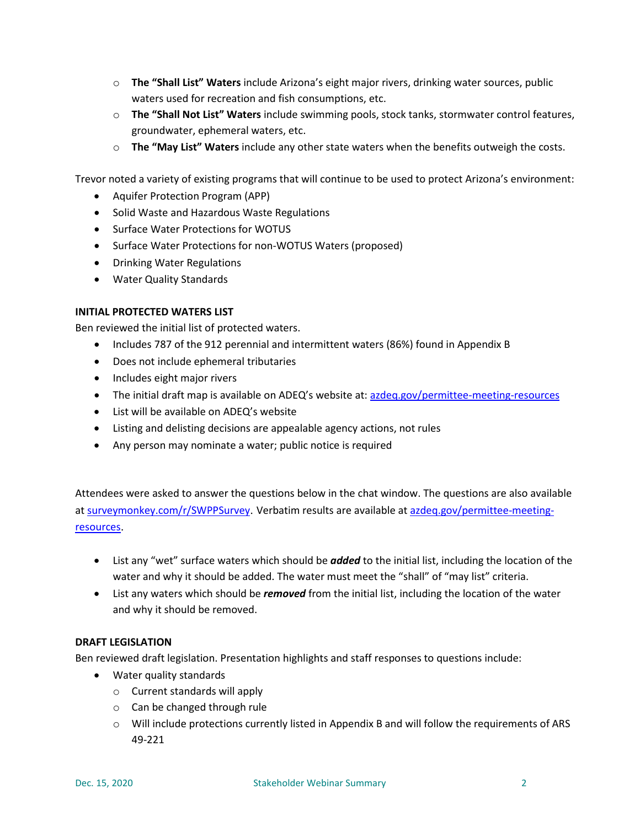- o **The "Shall List" Waters** include Arizona's eight major rivers, drinking water sources, public waters used for recreation and fish consumptions, etc.
- o **The "Shall Not List" Waters** include swimming pools, stock tanks, stormwater control features, groundwater, ephemeral waters, etc.
- o **The "May List" Waters** include any other state waters when the benefits outweigh the costs.

Trevor noted a variety of existing programs that will continue to be used to protect Arizona's environment:

- Aquifer Protection Program (APP)
- Solid Waste and Hazardous Waste Regulations
- Surface Water Protections for WOTUS
- Surface Water Protections for non-WOTUS Waters (proposed)
- Drinking Water Regulations
- Water Quality Standards

#### **INITIAL PROTECTED WATERS LIST**

Ben reviewed the initial list of protected waters.

- Includes 787 of the 912 perennial and intermittent waters (86%) found in Appendix B
- Does not include ephemeral tributaries
- Includes eight major rivers
- The initial draft map is available on ADEQ's website at: [azdeq.gov/permittee-meeting-resources](https://azdeq.gov/permittee-meeting-resources)
- List will be available on ADEQ's website
- Listing and delisting decisions are appealable agency actions, not rules
- Any person may nominate a water; public notice is required

Attendees were asked to answer the questions below in the chat window. The questions are also available at surveymonkey.com/r/SWPPSurvey. Verbatim results are available at [azdeq.gov/permittee-meeting](https://azdeq.gov/permittee-meeting-resources)[resources](https://azdeq.gov/permittee-meeting-resources).

- List any "wet" surface waters which should be *added* to the initial list, including the location of the water and why it should be added. The water must meet the "shall" of "may list" criteria.
- List any waters which should be *removed* from the initial list, including the location of the water and why it should be removed.

## **DRAFT LEGISLATION**

Ben reviewed draft legislation. Presentation highlights and staff responses to questions include:

- Water quality standards
	- o Current standards will apply
	- o Can be changed through rule
	- o Will include protections currently listed in Appendix B and will follow the requirements of ARS 49-221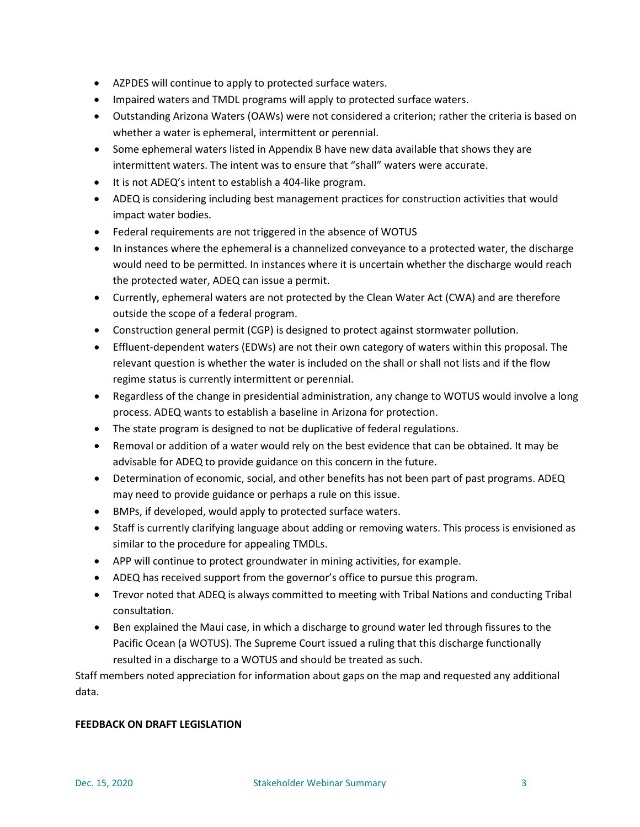- AZPDES will continue to apply to protected surface waters.
- Impaired waters and TMDL programs will apply to protected surface waters.
- Outstanding Arizona Waters (OAWs) were not considered a criterion; rather the criteria is based on whether a water is ephemeral, intermittent or perennial.
- Some ephemeral waters listed in Appendix B have new data available that shows they are intermittent waters. The intent was to ensure that "shall" waters were accurate.
- It is not ADEQ's intent to establish a 404-like program.
- ADEQ is considering including best management practices for construction activities that would impact water bodies.
- Federal requirements are not triggered in the absence of WOTUS
- In instances where the ephemeral is a channelized conveyance to a protected water, the discharge would need to be permitted. In instances where it is uncertain whether the discharge would reach the protected water, ADEQ can issue a permit.
- Currently, ephemeral waters are not protected by the Clean Water Act (CWA) and are therefore outside the scope of a federal program.
- Construction general permit (CGP) is designed to protect against stormwater pollution.
- Effluent-dependent waters (EDWs) are not their own category of waters within this proposal. The relevant question is whether the water is included on the shall or shall not lists and if the flow regime status is currently intermittent or perennial.
- Regardless of the change in presidential administration, any change to WOTUS would involve a long process. ADEQ wants to establish a baseline in Arizona for protection.
- The state program is designed to not be duplicative of federal regulations.
- Removal or addition of a water would rely on the best evidence that can be obtained. It may be advisable for ADEQ to provide guidance on this concern in the future.
- Determination of economic, social, and other benefits has not been part of past programs. ADEQ may need to provide guidance or perhaps a rule on this issue.
- BMPs, if developed, would apply to protected surface waters.
- Staff is currently clarifying language about adding or removing waters. This process is envisioned as similar to the procedure for appealing TMDLs.
- APP will continue to protect groundwater in mining activities, for example.
- ADEQ has received support from the governor's office to pursue this program.
- Trevor noted that ADEQ is always committed to meeting with Tribal Nations and conducting Tribal consultation.
- Ben explained the Maui case, in which a discharge to ground water led through fissures to the Pacific Ocean (a WOTUS). The Supreme Court issued a ruling that this discharge functionally resulted in a discharge to a WOTUS and should be treated as such.

Staff members noted appreciation for information about gaps on the map and requested any additional data.

## **FEEDBACK ON DRAFT LEGISLATION**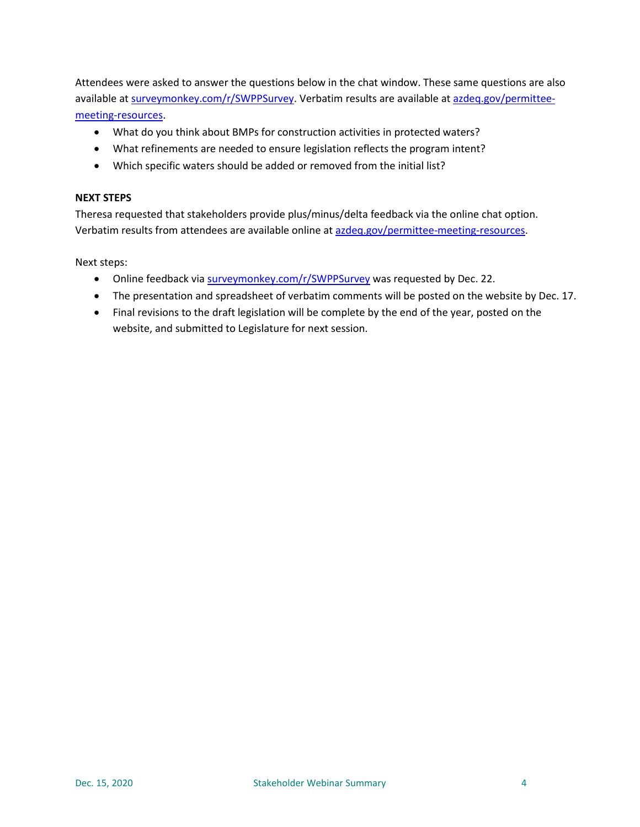Attendees were asked to answer the questions below in the chat window. These same questions are also available at surveymonkey.com/r/SWPPSurvey. Verbatim results are available a[t azdeq.gov/permittee](https://azdeq.gov/permittee-meeting-resources)[meeting-resources](https://azdeq.gov/permittee-meeting-resources).

- What do you think about BMPs for construction activities in protected waters?
- What refinements are needed to ensure legislation reflects the program intent?
- Which specific waters should be added or removed from the initial list?

#### **NEXT STEPS**

Theresa requested that stakeholders provide plus/minus/delta feedback via the online chat option. Verbatim results from attendees are available online at [azdeq.gov/permittee-meeting-resources.](https://azdeq.gov/permittee-meeting-resources)

Next steps:

- Online feedback via surveymonkey.com/r/SWPPSurvey was requested by Dec. 22.
- The presentation and spreadsheet of verbatim comments will be posted on the website by Dec. 17.
- Final revisions to the draft legislation will be complete by the end of the year, posted on the website, and submitted to Legislature for next session.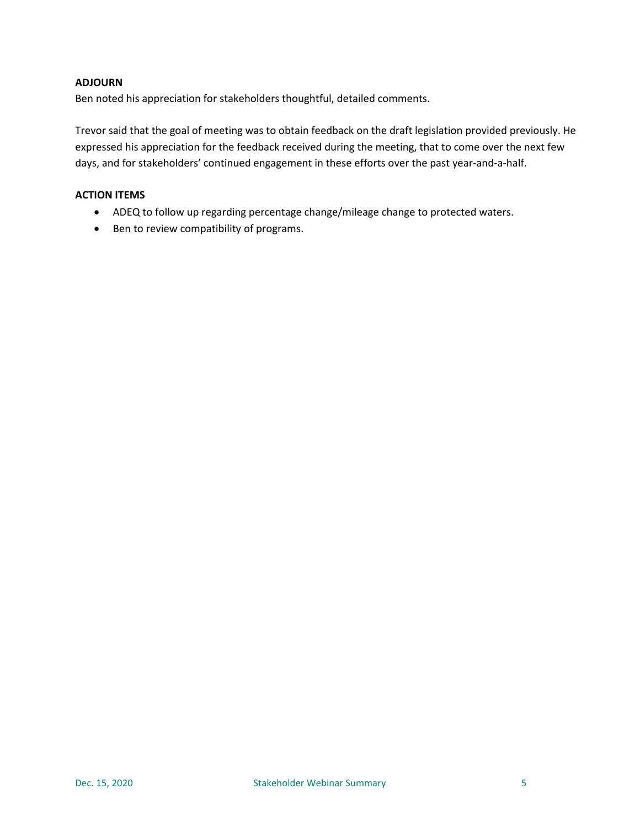## **ADJOURN**

Ben noted his appreciation for stakeholders thoughtful, detailed comments.

Trevor said that the goal of meeting was to obtain feedback on the draft legislation provided previously. He expressed his appreciation for the feedback received during the meeting, that to come over the next few days, and for stakeholders' continued engagement in these efforts over the past year-and-a-half.

## **ACTION ITEMS**

- ADEQ to follow up regarding percentage change/mileage change to protected waters.
- Ben to review compatibility of programs.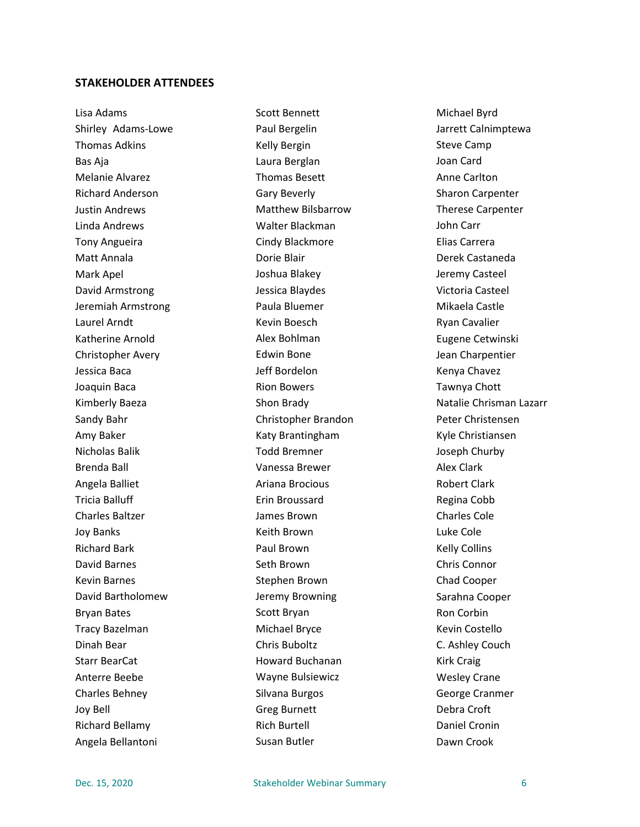#### **STAKEHOLDER ATTENDEES**

Lisa Adams Shirley Adams-Lowe Thomas Adkins Bas Aja Melanie Alvarez Richard Anderson Justin Andrews Linda Andrews Tony Angueira Matt Annala Mark Apel David Armstrong Jeremiah Armstrong Laurel Arndt Katherine Arnold Christopher Avery Jessica Baca Joaquin Baca Kimberly Baeza Sandy Bahr Amy Baker Nicholas Balik Brenda Ball Angela Balliet Tricia Balluff Charles Baltzer Joy Banks Richard Bark David Barnes Kevin Barnes David Bartholomew Bryan Bates Tracy Bazelman Dinah Bear Starr BearCat Anterre Beebe Charles Behney Joy Bell Richard Bellamy Angela Bellantoni

Scott Bennett Paul Bergelin Kelly Bergin Laura Berglan Thomas Besett Gary Beverly Matthew Bilsbarrow Walter Blackman Cindy Blackmore Dorie Blair Joshua Blakey Jessica Blaydes Paula Bluemer Kevin Boesch Alex Bohlman Edwin Bone Jeff Bordelon Rion Bowers Shon Brady Christopher Brandon Katy Brantingham Todd Bremner Vanessa Brewer Ariana Brocious Erin Broussard James Brown Keith Brown Paul Brown Seth Brown Stephen Brown Jeremy Browning Scott Bryan Michael Bryce Chris Buboltz Howard Buchanan Wayne Bulsiewicz Silvana Burgos Greg Burnett Rich Burtell Susan Butler

Michael Byrd Jarrett Calnimptewa Steve Camp Joan Card Anne Carlton Sharon Carpenter Therese Carpenter John Carr Elias Carrera Derek Castaneda Jeremy Casteel Victoria Casteel Mikaela Castle Ryan Cavalier Eugene Cetwinski Jean Charpentier Kenya Chavez Tawnya Chott Natalie Chrisman Lazarr Peter Christensen Kyle Christiansen Joseph Churby Alex Clark Robert Clark Regina Cobb Charles Cole Luke Cole Kelly Collins Chris Connor Chad Cooper Sarahna Cooper Ron Corbin Kevin Costello C. Ashley Couch Kirk Craig Wesley Crane George Cranmer Debra Croft Daniel Cronin Dawn Crook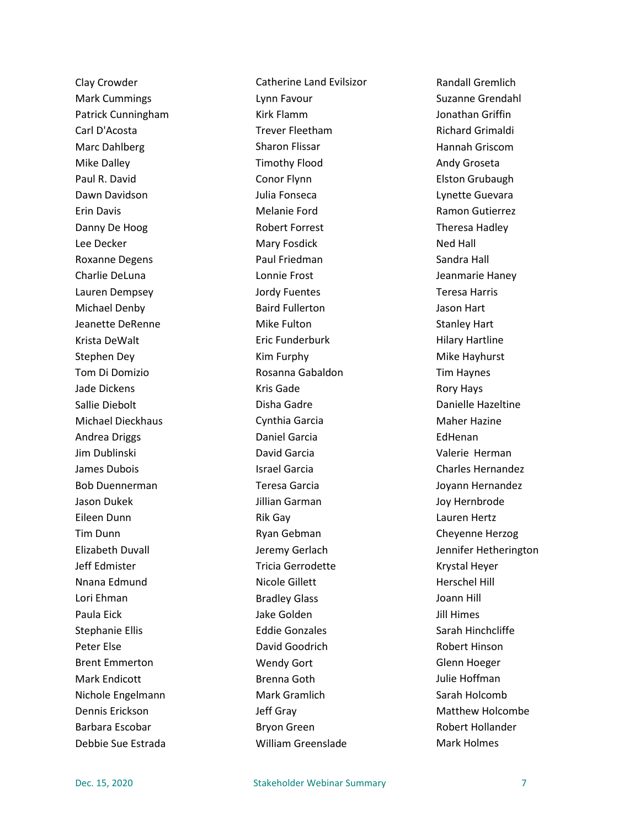Clay Crowder Mark Cummings Patrick Cunningham Carl D'Acosta Marc Dahlberg Mike Dalley Paul R. David Dawn Davidson Erin Davis Danny De Hoog Lee Decker Roxanne Degens Charlie DeLuna Lauren Dempsey Michael Denby Jeanette DeRenne Krista DeWalt Stephen Dey Tom Di Domizio Jade Dickens Sallie Diebolt Michael Dieckhaus Andrea Driggs Jim Dublinski James Dubois Bob Duennerman Jason Dukek Eileen Dunn Tim Dunn Elizabeth Duvall Jeff Edmister Nnana Edmund Lori Ehman Paula Eick Stephanie Ellis Peter Else Brent Emmerton Mark Endicott Nichole Engelmann Dennis Erickson Barbara Escobar Debbie Sue Estrada

Catherine Land Evilsizor Lynn Favour Kirk Flamm Trever Fleetham Sharon Flissar Timothy Flood Conor Flynn Julia Fonseca Melanie Ford Robert Forrest Mary Fosdick Paul Friedman Lonnie Frost Jordy Fuentes Baird Fullerton Mike Fulton Eric Funderburk Kim Furphy Rosanna Gabaldon Kris Gade Disha Gadre Cynthia Garcia Daniel Garcia David Garcia Israel Garcia Teresa Garcia Jillian Garman Rik Gay Ryan Gebman Jeremy Gerlach Tricia Gerrodette Nicole Gillett Bradley Glass Jake Golden Eddie Gonzales David Goodrich Wendy Gort Brenna Goth Mark Gramlich Jeff Gray Bryon Green William Greenslade

Randall Gremlich Suzanne Grendahl Jonathan Griffin Richard Grimaldi Hannah Griscom Andy Groseta Elston Grubaugh Lynette Guevara Ramon Gutierrez Theresa Hadley Ned Hall Sandra Hall Jeanmarie Haney Teresa Harris Jason Hart Stanley Hart Hilary Hartline Mike Hayhurst Tim Haynes Rory Hays Danielle Hazeltine Maher Hazine EdHenan Valerie Herman Charles Hernandez Joyann Hernandez Joy Hernbrode Lauren Hertz Cheyenne Herzog Jennifer Hetherington Krystal Heyer Herschel Hill Joann Hill Jill Himes Sarah Hinchcliffe Robert Hinson Glenn Hoeger Julie Hoffman Sarah Holcomb Matthew Holcombe Robert Hollander Mark Holmes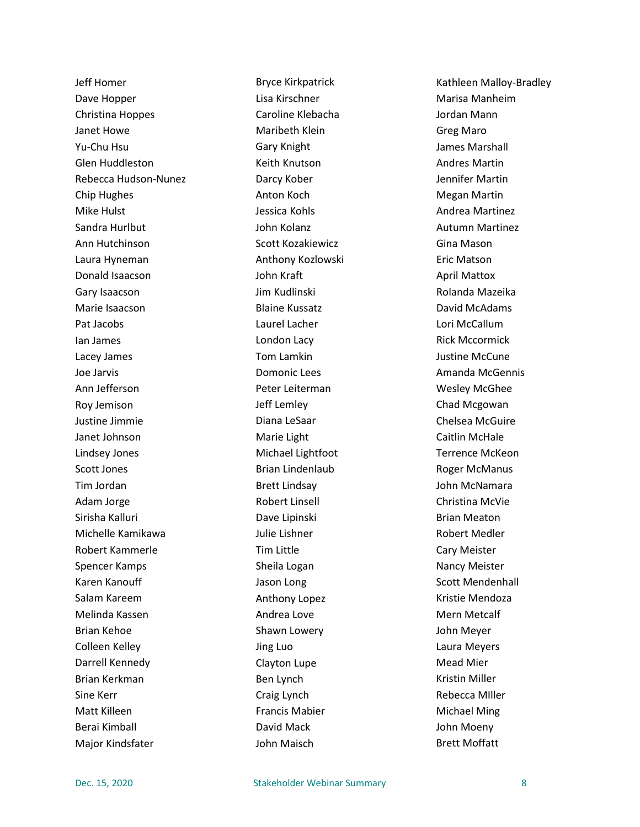Jeff Homer Dave Hopper Christina Hoppes Janet Howe Yu-Chu Hsu Glen Huddleston Rebecca Hudson-Nunez Chip Hughes Mike Hulst Sandra Hurlbut Ann Hutchinson Laura Hyneman Donald Isaacson Gary Isaacson Marie Isaacson Pat Jacobs Ian James Lacey James Joe Jarvis Ann Jefferson Roy Jemison Justine Jimmie Janet Johnson Lindsey Jones Scott Jones Tim Jordan Adam Jorge Sirisha Kalluri Michelle Kamikawa Robert Kammerle Spencer Kamps Karen Kanouff Salam Kareem Melinda Kassen Brian Kehoe Colleen Kelley Darrell Kennedy Brian Kerkman Sine Kerr Matt Killeen Berai Kimball Major Kindsfater

Bryce Kirkpatrick Lisa Kirschner Caroline Klebacha Maribeth Klein Gary Knight Keith Knutson Darcy Kober Anton Koch Jessica Kohls John Kolanz Scott Kozakiewicz Anthony Kozlowski John Kraft Jim Kudlinski Blaine Kussatz Laurel Lacher London Lacy Tom Lamkin Domonic Lees Peter Leiterman Jeff Lemley Diana LeSaar Marie Light Michael Lightfoot Brian Lindenlaub Brett Lindsay Robert Linsell Dave Lipinski Julie Lishner Tim Little Sheila Logan Jason Long Anthony Lopez Andrea Love Shawn Lowery Jing Luo Clayton Lupe Ben Lynch Craig Lynch Francis Mabier David Mack John Maisch

Kathleen Malloy-Bradley Marisa Manheim Jordan Mann Greg Maro James Marshall Andres Martin Jennifer Martin Megan Martin Andrea Martinez Autumn Martinez Gina Mason Eric Matson April Mattox Rolanda Mazeika David McAdams Lori McCallum Rick Mccormick Justine McCune Amanda McGennis Wesley McGhee Chad Mcgowan Chelsea McGuire Caitlin McHale Terrence McKeon Roger McManus John McNamara Christina McVie Brian Meaton Robert Medler Cary Meister Nancy Meister Scott Mendenhall Kristie Mendoza Mern Metcalf John Meyer Laura Meyers Mead Mier Kristin Miller Rebecca MIller Michael Ming John Moeny Brett Moffatt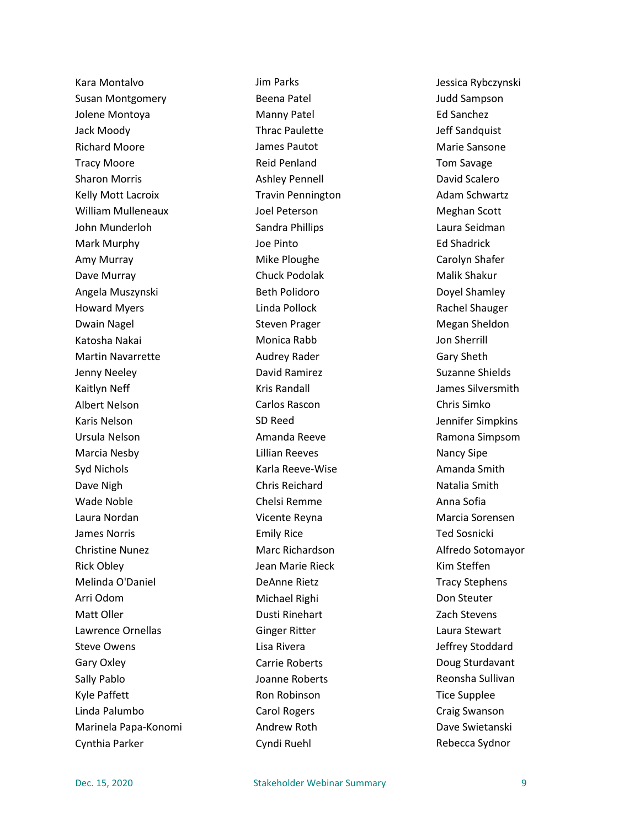Kara Montalvo Susan Montgomery Jolene Montoya Jack Moody Richard Moore Tracy Moore Sharon Morris Kelly Mott Lacroix William Mulleneaux John Munderloh Mark Murphy Amy Murray Dave Murray Angela Muszynski Howard Myers Dwain Nagel Katosha Nakai Martin Navarrette Jenny Neeley Kaitlyn Neff Albert Nelson Karis Nelson Ursula Nelson Marcia Nesby Syd Nichols Dave Nigh Wade Noble Laura Nordan James Norris Christine Nunez Rick Obley Melinda O'Daniel Arri Odom Matt Oller Lawrence Ornellas Steve Owens Gary Oxley Sally Pablo Kyle Paffett Linda Palumbo Marinela Papa-Konomi Cynthia Parker

Jim Parks Beena Patel Manny Patel Thrac Paulette James Pautot Reid Penland Ashley Pennell Travin Pennington Joel Peterson Sandra Phillips Joe Pinto Mike Ploughe Chuck Podolak Beth Polidoro Linda Pollock Steven Prager Monica Rabb Audrey Rader David Ramirez Kris Randall Carlos Rascon SD Reed Amanda Reeve Lillian Reeves Karla Reeve-Wise Chris Reichard Chelsi Remme Vicente Reyna Emily Rice Marc Richardson Jean Marie Rieck DeAnne Rietz Michael Righi Dusti Rinehart Ginger Ritter Lisa Rivera Carrie Roberts Joanne Roberts Ron Robinson Carol Rogers Andrew Roth Cyndi Ruehl

Jessica Rybczynski Judd Sampson Ed Sanchez Jeff Sandquist Marie Sansone Tom Savage David Scalero Adam Schwartz Meghan Scott Laura Seidman Ed Shadrick Carolyn Shafer Malik Shakur Doyel Shamley Rachel Shauger Megan Sheldon Jon Sherrill Gary Sheth Suzanne Shields James Silversmith Chris Simko Jennifer Simpkins Ramona Simpsom Nancy Sipe Amanda Smith Natalia Smith Anna Sofia Marcia Sorensen Ted Sosnicki Alfredo Sotomayor Kim Steffen Tracy Stephens Don Steuter Zach Stevens Laura Stewart Jeffrey Stoddard Doug Sturdavant Reonsha Sullivan Tice Supplee Craig Swanson Dave Swietanski Rebecca Sydnor